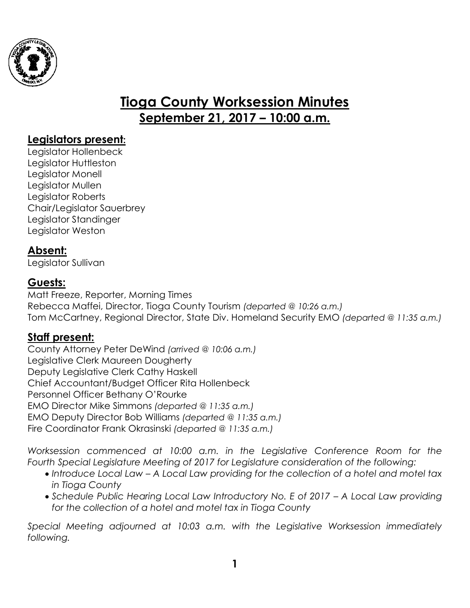

# **Tioga County Worksession Minutes September 21, 2017 – 10:00 a.m.**

## **Legislators present:**

Legislator Hollenbeck Legislator Huttleston Legislator Monell Legislator Mullen Legislator Roberts Chair/Legislator Sauerbrey Legislator Standinger Legislator Weston

## **Absent:**

Legislator Sullivan

## **Guests:**

Matt Freeze, Reporter, Morning Times Rebecca Maffei, Director, Tioga County Tourism *(departed @ 10:26 a.m.)* Tom McCartney, Regional Director, State Div. Homeland Security EMO *(departed @ 11:35 a.m.)*

# **Staff present:**

County Attorney Peter DeWind *(arrived @ 10:06 a.m.)* Legislative Clerk Maureen Dougherty Deputy Legislative Clerk Cathy Haskell Chief Accountant/Budget Officer Rita Hollenbeck Personnel Officer Bethany O'Rourke EMO Director Mike Simmons *(departed @ 11:35 a.m.)* EMO Deputy Director Bob Williams *(departed @ 11:35 a.m.)* Fire Coordinator Frank Okrasinski *(departed @ 11:35 a.m.)*

*Worksession commenced at 10:00 a.m. in the Legislative Conference Room for the Fourth Special Legislature Meeting of 2017 for Legislature consideration of the following:* 

- *Introduce Local Law – A Local Law providing for the collection of a hotel and motel tax in Tioga County*
- Schedule Public Hearing Local Law Introductory No. E of 2017 A Local Law providing *for the collection of a hotel and motel tax in Tioga County*

*Special Meeting adjourned at 10:03 a.m. with the Legislative Worksession immediately following.*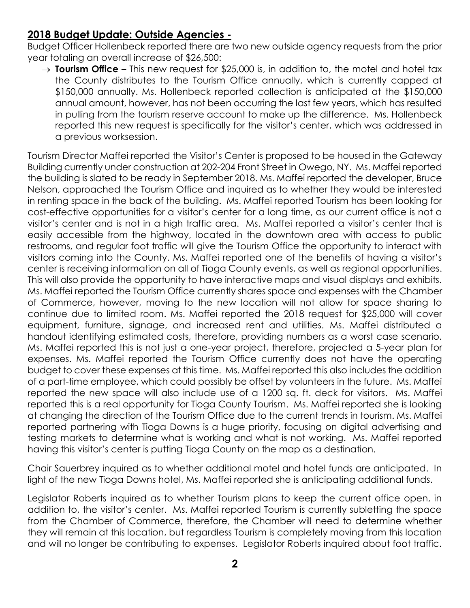# **2018 Budget Update: Outside Agencies -**

Budget Officer Hollenbeck reported there are two new outside agency requests from the prior year totaling an overall increase of \$26,500:

→ **Tourism Office –** This new request for \$25,000 is, in addition to, the motel and hotel tax the County distributes to the Tourism Office annually, which is currently capped at \$150,000 annually. Ms. Hollenbeck reported collection is anticipated at the \$150,000 annual amount, however, has not been occurring the last few years, which has resulted in pulling from the tourism reserve account to make up the difference. Ms. Hollenbeck reported this new request is specifically for the visitor's center, which was addressed in a previous worksession.

Tourism Director Maffei reported the Visitor's Center is proposed to be housed in the Gateway Building currently under construction at 202-204 Front Street in Owego, NY. Ms. Maffei reported the building is slated to be ready in September 2018. Ms. Maffei reported the developer, Bruce Nelson, approached the Tourism Office and inquired as to whether they would be interested in renting space in the back of the building. Ms. Maffei reported Tourism has been looking for cost-effective opportunities for a visitor's center for a long time, as our current office is not a visitor's center and is not in a high traffic area. Ms. Maffei reported a visitor's center that is easily accessible from the highway, located in the downtown area with access to public restrooms, and regular foot traffic will give the Tourism Office the opportunity to interact with visitors coming into the County. Ms. Maffei reported one of the benefits of having a visitor's center is receiving information on all of Tioga County events, as well as regional opportunities. This will also provide the opportunity to have interactive maps and visual displays and exhibits. Ms. Maffei reported the Tourism Office currently shares space and expenses with the Chamber of Commerce, however, moving to the new location will not allow for space sharing to continue due to limited room. Ms. Maffei reported the 2018 request for \$25,000 will cover equipment, furniture, signage, and increased rent and utilities. Ms. Maffei distributed a handout identifying estimated costs, therefore, providing numbers as a worst case scenario. Ms. Maffei reported this is not just a one-year project, therefore, projected a 5-year plan for expenses. Ms. Maffei reported the Tourism Office currently does not have the operating budget to cover these expenses at this time. Ms. Maffei reported this also includes the addition of a part-time employee, which could possibly be offset by volunteers in the future. Ms. Maffei reported the new space will also include use of a 1200 sq. ft. deck for visitors. Ms. Maffei reported this is a real opportunity for Tioga County Tourism. Ms. Maffei reported she is looking at changing the direction of the Tourism Office due to the current trends in tourism. Ms. Maffei reported partnering with Tioga Downs is a huge priority, focusing on digital advertising and testing markets to determine what is working and what is not working. Ms. Maffei reported having this visitor's center is putting Tioga County on the map as a destination.

Chair Sauerbrey inquired as to whether additional motel and hotel funds are anticipated. In light of the new Tioga Downs hotel, Ms. Maffei reported she is anticipating additional funds.

Legislator Roberts inquired as to whether Tourism plans to keep the current office open, in addition to, the visitor's center. Ms. Maffei reported Tourism is currently subletting the space from the Chamber of Commerce, therefore, the Chamber will need to determine whether they will remain at this location, but regardless Tourism is completely moving from this location and will no longer be contributing to expenses. Legislator Roberts inquired about foot traffic.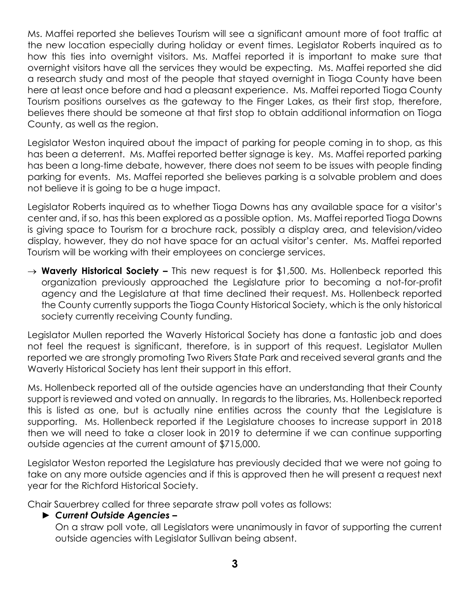Ms. Maffei reported she believes Tourism will see a significant amount more of foot traffic at the new location especially during holiday or event times. Legislator Roberts inquired as to how this ties into overnight visitors. Ms. Maffei reported it is important to make sure that overnight visitors have all the services they would be expecting. Ms. Maffei reported she did a research study and most of the people that stayed overnight in Tioga County have been here at least once before and had a pleasant experience. Ms. Maffei reported Tioga County Tourism positions ourselves as the gateway to the Finger Lakes, as their first stop, therefore, believes there should be someone at that first stop to obtain additional information on Tioga County, as well as the region.

Legislator Weston inquired about the impact of parking for people coming in to shop, as this has been a deterrent. Ms. Maffei reported better signage is key. Ms. Maffei reported parking has been a long-time debate, however, there does not seem to be issues with people finding parking for events. Ms. Maffei reported she believes parking is a solvable problem and does not believe it is going to be a huge impact.

Legislator Roberts inquired as to whether Tioga Downs has any available space for a visitor's center and, if so, has this been explored as a possible option. Ms. Maffei reported Tioga Downs is giving space to Tourism for a brochure rack, possibly a display area, and television/video display, however, they do not have space for an actual visitor's center. Ms. Maffei reported Tourism will be working with their employees on concierge services.

→ **Waverly Historical Society –** This new request is for \$1,500. Ms. Hollenbeck reported this organization previously approached the Legislature prior to becoming a not-for-profit agency and the Legislature at that time declined their request. Ms. Hollenbeck reported the County currently supports the Tioga County Historical Society, which is the only historical society currently receiving County funding.

Legislator Mullen reported the Waverly Historical Society has done a fantastic job and does not feel the request is significant, therefore, is in support of this request. Legislator Mullen reported we are strongly promoting Two Rivers State Park and received several grants and the Waverly Historical Society has lent their support in this effort.

Ms. Hollenbeck reported all of the outside agencies have an understanding that their County support is reviewed and voted on annually. In regards to the libraries, Ms. Hollenbeck reported this is listed as one, but is actually nine entities across the county that the Legislature is supporting. Ms. Hollenbeck reported if the Legislature chooses to increase support in 2018 then we will need to take a closer look in 2019 to determine if we can continue supporting outside agencies at the current amount of \$715,000.

Legislator Weston reported the Legislature has previously decided that we were not going to take on any more outside agencies and if this is approved then he will present a request next year for the Richford Historical Society.

Chair Sauerbrey called for three separate straw poll votes as follows:

#### ► *Current Outside Agencies –*

On a straw poll vote, all Legislators were unanimously in favor of supporting the current outside agencies with Legislator Sullivan being absent.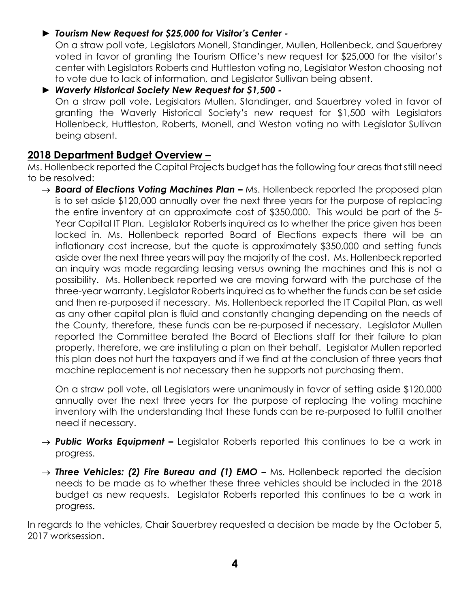#### ► *Tourism New Request for \$25,000 for Visitor's Center -*

On a straw poll vote, Legislators Monell, Standinger, Mullen, Hollenbeck, and Sauerbrey voted in favor of granting the Tourism Office's new request for \$25,000 for the visitor's center with Legislators Roberts and Huttleston voting no, Legislator Weston choosing not to vote due to lack of information, and Legislator Sullivan being absent.

#### ► *Waverly Historical Society New Request for \$1,500 -*

On a straw poll vote, Legislators Mullen, Standinger, and Sauerbrey voted in favor of granting the Waverly Historical Society's new request for \$1,500 with Legislators Hollenbeck, Huttleston, Roberts, Monell, and Weston voting no with Legislator Sullivan being absent.

#### **2018 Department Budget Overview –**

Ms. Hollenbeck reported the Capital Projects budget has the following four areas that still need to be resolved:

→ **Board of Elections Voting Machines Plan –** Ms. Hollenbeck reported the proposed plan is to set aside \$120,000 annually over the next three years for the purpose of replacing the entire inventory at an approximate cost of \$350,000. This would be part of the 5- Year Capital IT Plan. Legislator Roberts inquired as to whether the price given has been locked in. Ms. Hollenbeck reported Board of Elections expects there will be an inflationary cost increase, but the quote is approximately \$350,000 and setting funds aside over the next three years will pay the majority of the cost. Ms. Hollenbeck reported an inquiry was made regarding leasing versus owning the machines and this is not a possibility. Ms. Hollenbeck reported we are moving forward with the purchase of the three-year warranty. Legislator Roberts inquired as to whether the funds can be set aside and then re-purposed if necessary. Ms. Hollenbeck reported the IT Capital Plan, as well as any other capital plan is fluid and constantly changing depending on the needs of the County, therefore, these funds can be re-purposed if necessary. Legislator Mullen reported the Committee berated the Board of Elections staff for their failure to plan properly, therefore, we are instituting a plan on their behalf. Legislator Mullen reported this plan does not hurt the taxpayers and if we find at the conclusion of three years that machine replacement is not necessary then he supports not purchasing them.

On a straw poll vote, all Legislators were unanimously in favor of setting aside \$120,000 annually over the next three years for the purpose of replacing the voting machine inventory with the understanding that these funds can be re-purposed to fulfill another need if necessary.

- → **Public Works Equipment –** Legislator Roberts reported this continues to be a work in progress.
- → **Three Vehicles: (2) Fire Bureau and (1) EMO –** Ms. Hollenbeck reported the decision needs to be made as to whether these three vehicles should be included in the 2018 budget as new requests. Legislator Roberts reported this continues to be a work in progress.

In regards to the vehicles, Chair Sauerbrey requested a decision be made by the October 5, 2017 worksession.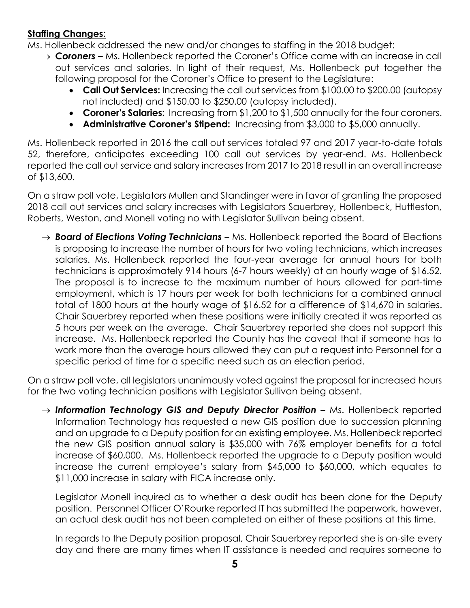#### **Staffing Changes:**

Ms. Hollenbeck addressed the new and/or changes to staffing in the 2018 budget:

- → **Coroners –** Ms. Hollenbeck reported the Coroner's Office came with an increase in call out services and salaries. In light of their request, Ms. Hollenbeck put together the following proposal for the Coroner's Office to present to the Legislature:
	- **Call Out Services:** Increasing the call out services from \$100.00 to \$200.00 (autopsy not included) and \$150.00 to \$250.00 (autopsy included).
	- **Coroner's Salaries:** Increasing from \$1,200 to \$1,500 annually for the four coroners.
	- **Administrative Coroner's Stipend:** Increasing from \$3,000 to \$5,000 annually.

Ms. Hollenbeck reported in 2016 the call out services totaled 97 and 2017 year-to-date totals 52, therefore, anticipates exceeding 100 call out services by year-end. Ms. Hollenbeck reported the call out service and salary increases from 2017 to 2018 result in an overall increase of \$13,600.

On a straw poll vote, Legislators Mullen and Standinger were in favor of granting the proposed 2018 call out services and salary increases with Legislators Sauerbrey, Hollenbeck, Huttleston, Roberts, Weston, and Monell voting no with Legislator Sullivan being absent.

→ **Board of Elections Voting Technicians –** Ms. Hollenbeck reported the Board of Elections is proposing to increase the number of hours for two voting technicians, which increases salaries. Ms. Hollenbeck reported the four-year average for annual hours for both technicians is approximately 914 hours (6-7 hours weekly) at an hourly wage of \$16.52. The proposal is to increase to the maximum number of hours allowed for part-time employment, which is 17 hours per week for both technicians for a combined annual total of 1800 hours at the hourly wage of \$16.52 for a difference of \$14,670 in salaries. Chair Sauerbrey reported when these positions were initially created it was reported as 5 hours per week on the average. Chair Sauerbrey reported she does not support this increase. Ms. Hollenbeck reported the County has the caveat that if someone has to work more than the average hours allowed they can put a request into Personnel for a specific period of time for a specific need such as an election period.

On a straw poll vote, all legislators unanimously voted against the proposal for increased hours for the two voting technician positions with Legislator Sullivan being absent.

→ Information Technology GIS and Deputy Director Position – Ms. Hollenbeck reported Information Technology has requested a new GIS position due to succession planning and an upgrade to a Deputy position for an existing employee. Ms. Hollenbeck reported the new GIS position annual salary is \$35,000 with 76% employer benefits for a total increase of \$60,000. Ms. Hollenbeck reported the upgrade to a Deputy position would increase the current employee's salary from \$45,000 to \$60,000, which equates to \$11,000 increase in salary with FICA increase only.

Legislator Monell inquired as to whether a desk audit has been done for the Deputy position. Personnel Officer O'Rourke reported IT has submitted the paperwork, however, an actual desk audit has not been completed on either of these positions at this time.

In regards to the Deputy position proposal, Chair Sauerbrey reported she is on-site every day and there are many times when IT assistance is needed and requires someone to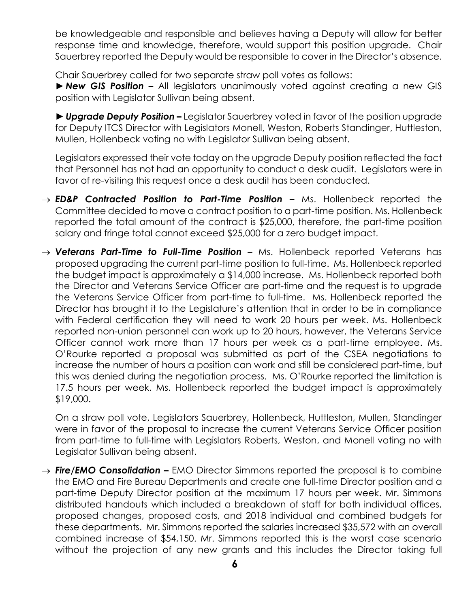be knowledgeable and responsible and believes having a Deputy will allow for better response time and knowledge, therefore, would support this position upgrade. Chair Sauerbrey reported the Deputy would be responsible to cover in the Director's absence.

Chair Sauerbrey called for two separate straw poll votes as follows:

►*New GIS Position –* All legislators unanimously voted against creating a new GIS position with Legislator Sullivan being absent.

►*Upgrade Deputy Position –* Legislator Sauerbrey voted in favor of the position upgrade for Deputy ITCS Director with Legislators Monell, Weston, Roberts Standinger, Huttleston, Mullen, Hollenbeck voting no with Legislator Sullivan being absent.

Legislators expressed their vote today on the upgrade Deputy position reflected the fact that Personnel has not had an opportunity to conduct a desk audit. Legislators were in favor of re-visiting this request once a desk audit has been conducted.

- → **ED&P Contracted Position to Part-Time Position –** Ms. Hollenbeck reported the Committee decided to move a contract position to a part-time position. Ms. Hollenbeck reported the total amount of the contract is \$25,000, therefore, the part-time position salary and fringe total cannot exceed \$25,000 for a zero budget impact.
- → Veterans Part-Time to Full-Time Position Ms. Hollenbeck reported Veterans has proposed upgrading the current part-time position to full-time. Ms. Hollenbeck reported the budget impact is approximately a \$14,000 increase. Ms. Hollenbeck reported both the Director and Veterans Service Officer are part-time and the request is to upgrade the Veterans Service Officer from part-time to full-time. Ms. Hollenbeck reported the Director has brought it to the Legislature's attention that in order to be in compliance with Federal certification they will need to work 20 hours per week. Ms. Hollenbeck reported non-union personnel can work up to 20 hours, however, the Veterans Service Officer cannot work more than 17 hours per week as a part-time employee. Ms. O'Rourke reported a proposal was submitted as part of the CSEA negotiations to increase the number of hours a position can work and still be considered part-time, but this was denied during the negotiation process. Ms. O'Rourke reported the limitation is 17.5 hours per week. Ms. Hollenbeck reported the budget impact is approximately \$19,000.

On a straw poll vote, Legislators Sauerbrey, Hollenbeck, Huttleston, Mullen, Standinger were in favor of the proposal to increase the current Veterans Service Officer position from part-time to full-time with Legislators Roberts, Weston, and Monell voting no with Legislator Sullivan being absent.

→ **Fire/EMO Consolidation –** EMO Director Simmons reported the proposal is to combine the EMO and Fire Bureau Departments and create one full-time Director position and a part-time Deputy Director position at the maximum 17 hours per week. Mr. Simmons distributed handouts which included a breakdown of staff for both individual offices, proposed changes, proposed costs, and 2018 individual and combined budgets for these departments. Mr. Simmons reported the salaries increased \$35,572 with an overall combined increase of \$54,150. Mr. Simmons reported this is the worst case scenario without the projection of any new grants and this includes the Director taking full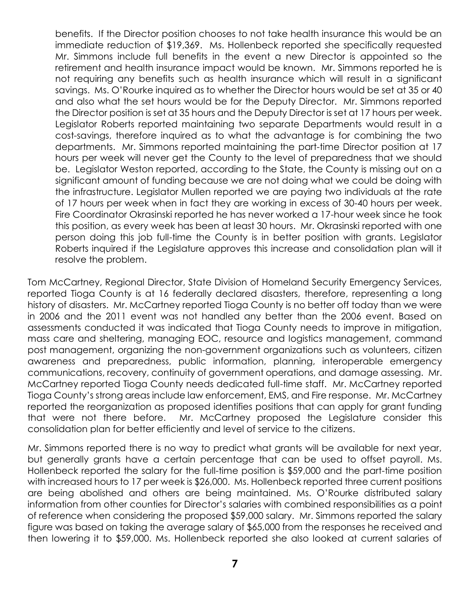benefits. If the Director position chooses to not take health insurance this would be an immediate reduction of \$19,369. Ms. Hollenbeck reported she specifically requested Mr. Simmons include full benefits in the event a new Director is appointed so the retirement and health insurance impact would be known. Mr. Simmons reported he is not requiring any benefits such as health insurance which will result in a significant savings. Ms. O'Rourke inquired as to whether the Director hours would be set at 35 or 40 and also what the set hours would be for the Deputy Director. Mr. Simmons reported the Director position is set at 35 hours and the Deputy Director is set at 17 hours per week. Legislator Roberts reported maintaining two separate Departments would result in a cost-savings, therefore inquired as to what the advantage is for combining the two departments. Mr. Simmons reported maintaining the part-time Director position at 17 hours per week will never get the County to the level of preparedness that we should be. Legislator Weston reported, according to the State, the County is missing out on a significant amount of funding because we are not doing what we could be doing with the infrastructure. Legislator Mullen reported we are paying two individuals at the rate of 17 hours per week when in fact they are working in excess of 30-40 hours per week. Fire Coordinator Okrasinski reported he has never worked a 17-hour week since he took this position, as every week has been at least 30 hours. Mr. Okrasinski reported with one person doing this job full-time the County is in better position with grants. Legislator Roberts inquired if the Legislature approves this increase and consolidation plan will it resolve the problem.

Tom McCartney, Regional Director, State Division of Homeland Security Emergency Services, reported Tioga County is at 16 federally declared disasters, therefore, representing a long history of disasters. Mr. McCartney reported Tioga County is no better off today than we were in 2006 and the 2011 event was not handled any better than the 2006 event. Based on assessments conducted it was indicated that Tioga County needs to improve in mitigation, mass care and sheltering, managing EOC, resource and logistics management, command post management, organizing the non-government organizations such as volunteers, citizen awareness and preparedness, public information, planning, interoperable emergency communications, recovery, continuity of government operations, and damage assessing. Mr. McCartney reported Tioga County needs dedicated full-time staff. Mr. McCartney reported Tioga County's strong areas include law enforcement, EMS, and Fire response. Mr. McCartney reported the reorganization as proposed identifies positions that can apply for grant funding that were not there before. Mr. McCartney proposed the Legislature consider this consolidation plan for better efficiently and level of service to the citizens.

Mr. Simmons reported there is no way to predict what grants will be available for next year, but generally grants have a certain percentage that can be used to offset payroll. Ms. Hollenbeck reported the salary for the full-time position is \$59,000 and the part-time position with increased hours to 17 per week is \$26,000. Ms. Hollenbeck reported three current positions are being abolished and others are being maintained. Ms. O'Rourke distributed salary information from other counties for Director's salaries with combined responsibilities as a point of reference when considering the proposed \$59,000 salary. Mr. Simmons reported the salary figure was based on taking the average salary of \$65,000 from the responses he received and then lowering it to \$59,000. Ms. Hollenbeck reported she also looked at current salaries of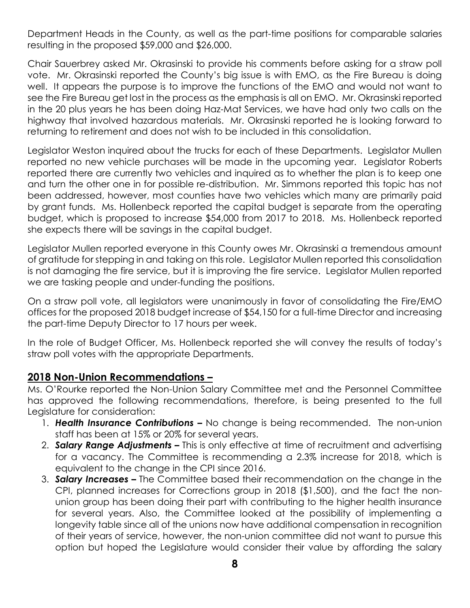Department Heads in the County, as well as the part-time positions for comparable salaries resulting in the proposed \$59,000 and \$26,000.

Chair Sauerbrey asked Mr. Okrasinski to provide his comments before asking for a straw poll vote. Mr. Okrasinski reported the County's big issue is with EMO, as the Fire Bureau is doing well. It appears the purpose is to improve the functions of the EMO and would not want to see the Fire Bureau get lost in the process as the emphasis is all on EMO. Mr. Okrasinski reported in the 20 plus years he has been doing Haz-Mat Services, we have had only two calls on the highway that involved hazardous materials. Mr. Okrasinski reported he is looking forward to returning to retirement and does not wish to be included in this consolidation.

Legislator Weston inquired about the trucks for each of these Departments. Legislator Mullen reported no new vehicle purchases will be made in the upcoming year. Legislator Roberts reported there are currently two vehicles and inquired as to whether the plan is to keep one and turn the other one in for possible re-distribution. Mr. Simmons reported this topic has not been addressed, however, most counties have two vehicles which many are primarily paid by grant funds. Ms. Hollenbeck reported the capital budget is separate from the operating budget, which is proposed to increase \$54,000 from 2017 to 2018. Ms. Hollenbeck reported she expects there will be savings in the capital budget.

Legislator Mullen reported everyone in this County owes Mr. Okrasinski a tremendous amount of gratitude for stepping in and taking on this role. Legislator Mullen reported this consolidation is not damaging the fire service, but it is improving the fire service. Legislator Mullen reported we are tasking people and under-funding the positions.

On a straw poll vote, all legislators were unanimously in favor of consolidating the Fire/EMO offices for the proposed 2018 budget increase of \$54,150 for a full-time Director and increasing the part-time Deputy Director to 17 hours per week.

In the role of Budget Officer, Ms. Hollenbeck reported she will convey the results of today's straw poll votes with the appropriate Departments.

## **2018 Non-Union Recommendations –**

Ms. O'Rourke reported the Non-Union Salary Committee met and the Personnel Committee has approved the following recommendations, therefore, is being presented to the full Legislature for consideration:

- 1. **Health Insurance Contributions –** No change is being recommended. The non-union staff has been at 15% or 20% for several years.
- 2. *Salary Range Adjustments –* This is only effective at time of recruitment and advertising for a vacancy. The Committee is recommending a 2.3% increase for 2018, which is equivalent to the change in the CPI since 2016.
- 3. *Salary Increases –* The Committee based their recommendation on the change in the CPI, planned increases for Corrections group in 2018 (\$1,500), and the fact the nonunion group has been doing their part with contributing to the higher health insurance for several years. Also, the Committee looked at the possibility of implementing a longevity table since all of the unions now have additional compensation in recognition of their years of service, however, the non-union committee did not want to pursue this option but hoped the Legislature would consider their value by affording the salary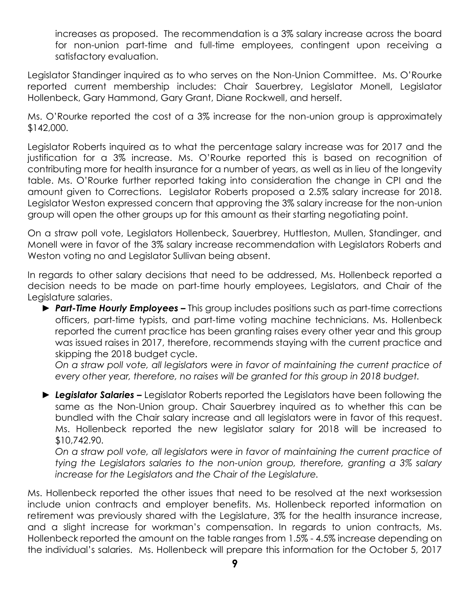increases as proposed. The recommendation is a 3% salary increase across the board for non-union part-time and full-time employees, contingent upon receiving a satisfactory evaluation.

Legislator Standinger inquired as to who serves on the Non-Union Committee. Ms. O'Rourke reported current membership includes: Chair Sauerbrey, Legislator Monell, Legislator Hollenbeck, Gary Hammond, Gary Grant, Diane Rockwell, and herself.

Ms. O'Rourke reported the cost of a 3% increase for the non-union group is approximately \$142,000.

Legislator Roberts inquired as to what the percentage salary increase was for 2017 and the justification for a 3% increase. Ms. O'Rourke reported this is based on recognition of contributing more for health insurance for a number of years, as well as in lieu of the longevity table. Ms. O'Rourke further reported taking into consideration the change in CPI and the amount given to Corrections. Legislator Roberts proposed a 2.5% salary increase for 2018. Legislator Weston expressed concern that approving the 3% salary increase for the non-union group will open the other groups up for this amount as their starting negotiating point.

On a straw poll vote, Legislators Hollenbeck, Sauerbrey, Huttleston, Mullen, Standinger, and Monell were in favor of the 3% salary increase recommendation with Legislators Roberts and Weston voting no and Legislator Sullivan being absent.

In regards to other salary decisions that need to be addressed, Ms. Hollenbeck reported a decision needs to be made on part-time hourly employees, Legislators, and Chair of the Legislature salaries.

► *Part-Time Hourly Employees –* This group includes positions such as part-time corrections officers, part-time typists, and part-time voting machine technicians. Ms. Hollenbeck reported the current practice has been granting raises every other year and this group was issued raises in 2017, therefore, recommends staying with the current practice and skipping the 2018 budget cycle.

*On a straw poll vote, all legislators were in favor of maintaining the current practice of every other year, therefore, no raises will be granted for this group in 2018 budget.* 

► *Legislator Salaries –* Legislator Roberts reported the Legislators have been following the same as the Non-Union group. Chair Sauerbrey inquired as to whether this can be bundled with the Chair salary increase and all legislators were in favor of this request. Ms. Hollenbeck reported the new legislator salary for 2018 will be increased to \$10,742.90.

*On a straw poll vote, all legislators were in favor of maintaining the current practice of tying the Legislators salaries to the non-union group, therefore, granting a 3% salary increase for the Legislators and the Chair of the Legislature.* 

Ms. Hollenbeck reported the other issues that need to be resolved at the next worksession include union contracts and employer benefits. Ms. Hollenbeck reported information on retirement was previously shared with the Legislature, 3% for the health insurance increase, and a slight increase for workman's compensation. In regards to union contracts, Ms. Hollenbeck reported the amount on the table ranges from 1.5% - 4.5% increase depending on the individual's salaries. Ms. Hollenbeck will prepare this information for the October 5, 2017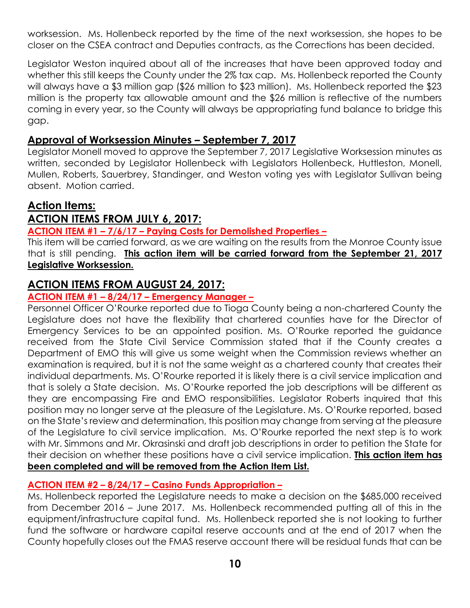worksession. Ms. Hollenbeck reported by the time of the next worksession, she hopes to be closer on the CSEA contract and Deputies contracts, as the Corrections has been decided.

Legislator Weston inquired about all of the increases that have been approved today and whether this still keeps the County under the 2% tax cap. Ms. Hollenbeck reported the County will always have a \$3 million gap (\$26 million to \$23 million). Ms. Hollenbeck reported the \$23 million is the property tax allowable amount and the \$26 million is reflective of the numbers coming in every year, so the County will always be appropriating fund balance to bridge this gap.

#### **Approval of Worksession Minutes – September 7, 2017**

Legislator Monell moved to approve the September 7, 2017 Legislative Worksession minutes as written, seconded by Legislator Hollenbeck with Legislators Hollenbeck, Huttleston, Monell, Mullen, Roberts, Sauerbrey, Standinger, and Weston voting yes with Legislator Sullivan being absent. Motion carried.

## **Action Items:**

# **ACTION ITEMS FROM JULY 6, 2017:**

#### **ACTION ITEM #1 – 7/6/17 – Paying Costs for Demolished Properties –**

This item will be carried forward, as we are waiting on the results from the Monroe County issue that is still pending. **This action item will be carried forward from the September 21, 2017 Legislative Worksession.** ī

## **ACTION ITEMS FROM AUGUST 24, 2017:**

#### **ACTION ITEM #1 – 8/24/17 – Emergency Manager –**

Personnel Officer O'Rourke reported due to Tioga County being a non-chartered County the Legislature does not have the flexibility that chartered counties have for the Director of Emergency Services to be an appointed position. Ms. O'Rourke reported the guidance received from the State Civil Service Commission stated that if the County creates a Department of EMO this will give us some weight when the Commission reviews whether an examination is required, but it is not the same weight as a chartered county that creates their individual departments. Ms. O'Rourke reported it is likely there is a civil service implication and that is solely a State decision. Ms. O'Rourke reported the job descriptions will be different as they are encompassing Fire and EMO responsibilities. Legislator Roberts inquired that this position may no longer serve at the pleasure of the Legislature. Ms. O'Rourke reported, based on the State's review and determination, this position may change from serving at the pleasure of the Legislature to civil service implication. Ms. O'Rourke reported the next step is to work with Mr. Simmons and Mr. Okrasinski and draft job descriptions in order to petition the State for their decision on whether these positions have a civil service implication. **This action item has been completed and will be removed from the Action Item List.** 

#### **ACTION ITEM #2 – 8/24/17 – Casino Funds Appropriation –**

Ms. Hollenbeck reported the Legislature needs to make a decision on the \$685,000 received from December 2016 – June 2017. Ms. Hollenbeck recommended putting all of this in the equipment/infrastructure capital fund. Ms. Hollenbeck reported she is not looking to further fund the software or hardware capital reserve accounts and at the end of 2017 when the County hopefully closes out the FMAS reserve account there will be residual funds that can be